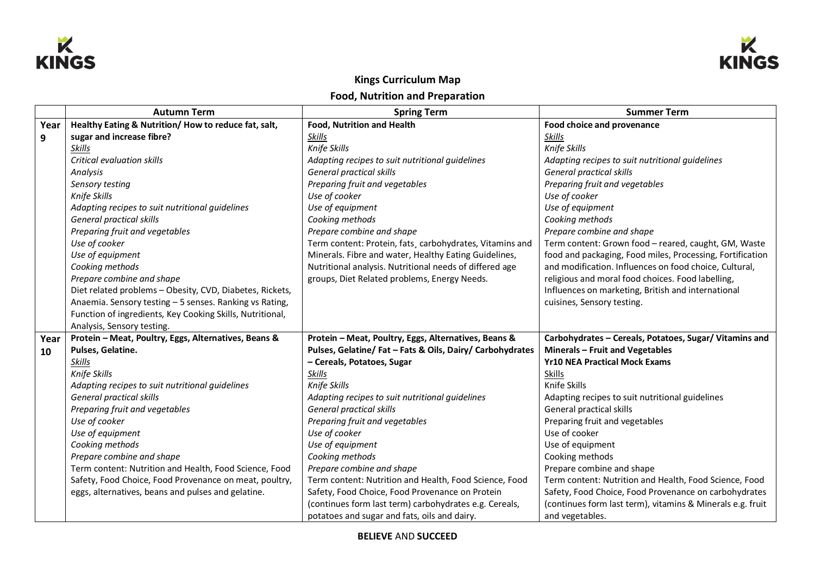



## **Kings Curriculum Map**

## **Food, Nutrition and Preparation**

|      | <b>Autumn Term</b>                                        | <b>Spring Term</b>                                        | <b>Summer Term</b>                                         |
|------|-----------------------------------------------------------|-----------------------------------------------------------|------------------------------------------------------------|
| Year | Healthy Eating & Nutrition/How to reduce fat, salt,       | <b>Food, Nutrition and Health</b>                         | Food choice and provenance                                 |
| 9    | sugar and increase fibre?                                 | <b>Skills</b>                                             | <b>Skills</b>                                              |
|      | Skills                                                    | Knife Skills                                              | Knife Skills                                               |
|      | Critical evaluation skills                                | Adapting recipes to suit nutritional guidelines           | Adapting recipes to suit nutritional guidelines            |
|      | Analysis                                                  | <b>General practical skills</b>                           | General practical skills                                   |
|      | Sensory testing                                           | Preparing fruit and vegetables                            | Preparing fruit and vegetables                             |
|      | Knife Skills                                              | Use of cooker                                             | Use of cooker                                              |
|      | Adapting recipes to suit nutritional guidelines           | Use of equipment                                          | Use of equipment                                           |
|      | General practical skills                                  | Cooking methods                                           | Cooking methods                                            |
|      | Preparing fruit and vegetables                            | Prepare combine and shape                                 | Prepare combine and shape                                  |
|      | Use of cooker                                             | Term content: Protein, fats, carbohydrates, Vitamins and  | Term content: Grown food - reared, caught, GM, Waste       |
|      | Use of equipment                                          | Minerals. Fibre and water, Healthy Eating Guidelines,     | food and packaging, Food miles, Processing, Fortification  |
|      | Cooking methods                                           | Nutritional analysis. Nutritional needs of differed age   | and modification. Influences on food choice, Cultural,     |
|      | Prepare combine and shape                                 | groups, Diet Related problems, Energy Needs.              | religious and moral food choices. Food labelling,          |
|      | Diet related problems - Obesity, CVD, Diabetes, Rickets,  |                                                           | Influences on marketing, British and international         |
|      | Anaemia. Sensory testing - 5 senses. Ranking vs Rating,   |                                                           | cuisines, Sensory testing.                                 |
|      | Function of ingredients, Key Cooking Skills, Nutritional, |                                                           |                                                            |
|      | Analysis, Sensory testing.                                |                                                           |                                                            |
| Year | Protein - Meat, Poultry, Eggs, Alternatives, Beans &      | Protein - Meat, Poultry, Eggs, Alternatives, Beans &      | Carbohydrates - Cereals, Potatoes, Sugar/ Vitamins and     |
| 10   | Pulses, Gelatine.                                         | Pulses, Gelatine/ Fat - Fats & Oils, Dairy/ Carbohydrates | Minerals - Fruit and Vegetables                            |
|      | Skills                                                    | - Cereals, Potatoes, Sugar                                | <b>Yr10 NEA Practical Mock Exams</b>                       |
|      | Knife Skills                                              | Skills                                                    | <b>Skills</b>                                              |
|      | Adapting recipes to suit nutritional guidelines           | Knife Skills                                              | Knife Skills                                               |
|      | General practical skills                                  | Adapting recipes to suit nutritional guidelines           | Adapting recipes to suit nutritional guidelines            |
|      | Preparing fruit and vegetables                            | <b>General practical skills</b>                           | General practical skills                                   |
|      | Use of cooker                                             | Preparing fruit and vegetables                            | Preparing fruit and vegetables                             |
|      | Use of equipment                                          | Use of cooker                                             | Use of cooker                                              |
|      | Cooking methods                                           | Use of equipment                                          | Use of equipment                                           |
|      | Prepare combine and shape                                 | Cooking methods                                           | Cooking methods                                            |
|      | Term content: Nutrition and Health, Food Science, Food    | Prepare combine and shape                                 | Prepare combine and shape                                  |
|      | Safety, Food Choice, Food Provenance on meat, poultry,    | Term content: Nutrition and Health, Food Science, Food    | Term content: Nutrition and Health, Food Science, Food     |
|      | eggs, alternatives, beans and pulses and gelatine.        | Safety, Food Choice, Food Provenance on Protein           | Safety, Food Choice, Food Provenance on carbohydrates      |
|      |                                                           | (continues form last term) carbohydrates e.g. Cereals,    | (continues form last term), vitamins & Minerals e.g. fruit |
|      |                                                           | potatoes and sugar and fats, oils and dairy.              | and vegetables.                                            |